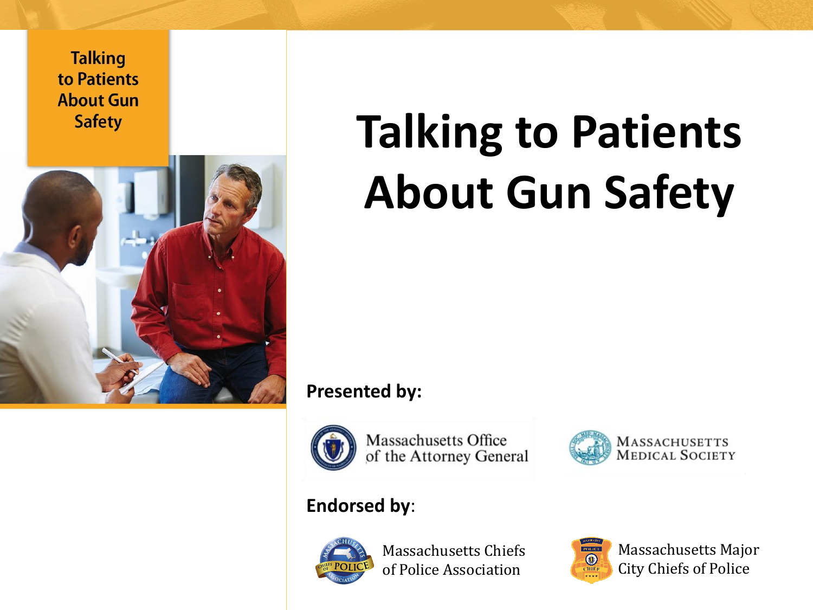

## **Talking to Patients About Gun Safety**

**Presented by:** 



Massachusetts Office of the Attorney General



#### **Endorsed by**:



Massachusetts Chiefs of Police Association



Massachusetts Major City Chiefs of Police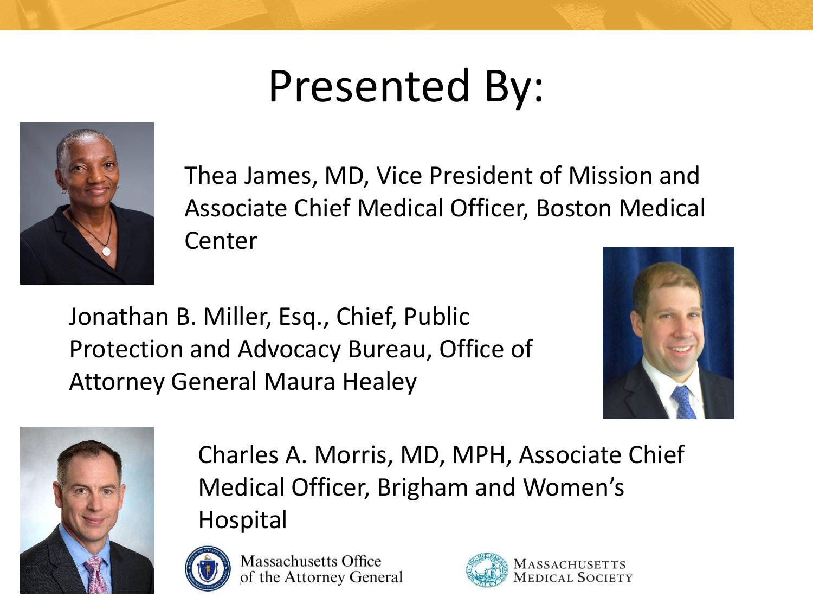### Presented By:



Thea James, MD, Vice President of Mission and Associate Chief Medical Officer, Boston Medical Center

Jonathan B. Miller, Esq., Chief, Public Protection and Advocacy Bureau, Office of Attorney General Maura Healey





Charles A. Morris, MD, MPH, Associate Chief Medical Officer, Brigham and Women's Hospital



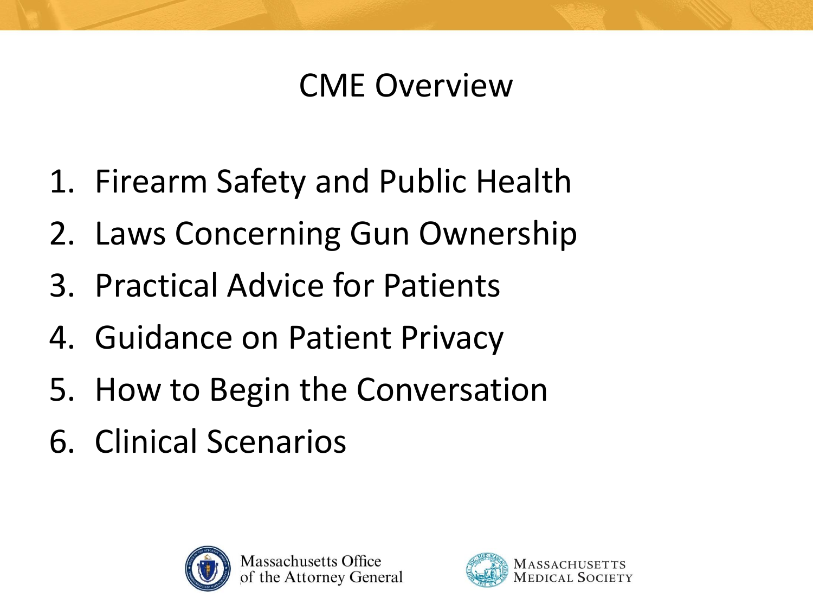#### CME Overview

- 1. Firearm Safety and Public Health
- 2. Laws Concerning Gun Ownership
- 3. Practical Advice for Patients
- 4. Guidance on Patient Privacy
- 5. How to Begin the Conversation
- 6. Clinical Scenarios



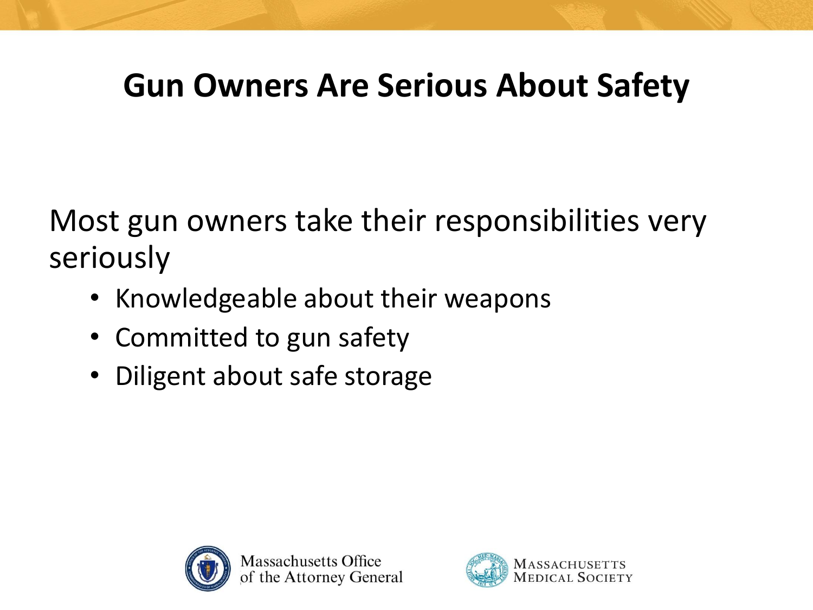#### **Gun Owners Are Serious About Safety**

Most gun owners take their responsibilities very seriously

- Knowledgeable about their weapons
- Committed to gun safety
- Diligent about safe storage



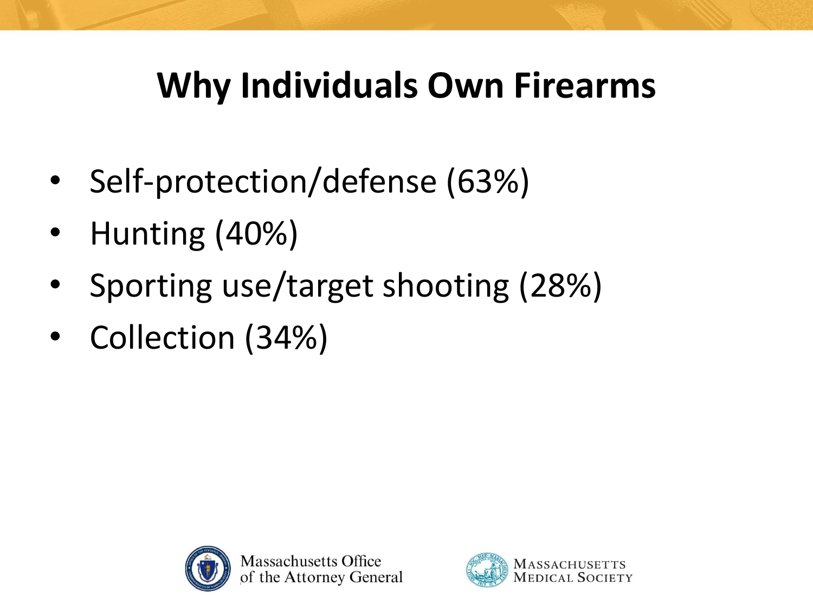### **Why Individuals Own Firearms**

- Self-protection/defense (63%)
- Hunting (40%)
- Sporting use/target shooting (28%)
- Collection (34%)



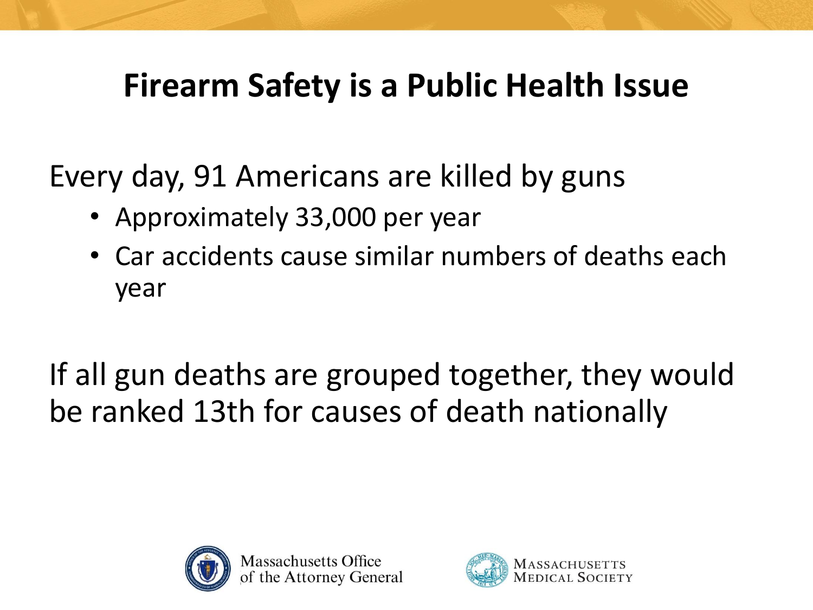#### **Firearm Safety is a Public Health Issue**

Every day, 91 Americans are killed by guns

- Approximately 33,000 per year
- Car accidents cause similar numbers of deaths each year

If all gun deaths are grouped together, they would be ranked 13th for causes of death nationally



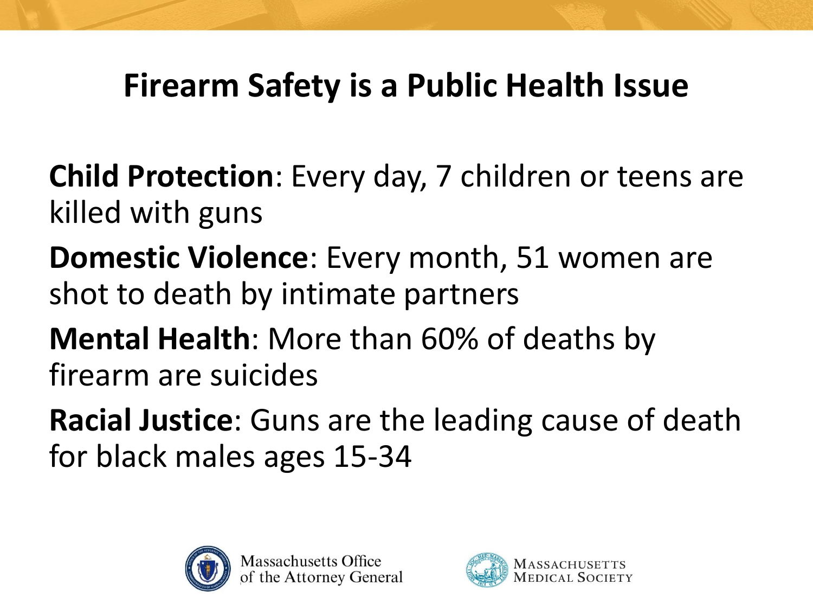#### **Firearm Safety is a Public Health Issue**

**Child Protection**: Every day, 7 children or teens are killed with guns

**Domestic Violence**: Every month, 51 women are shot to death by intimate partners

**Mental Health**: More than 60% of deaths by firearm are suicides

**Racial Justice**: Guns are the leading cause of death for black males ages 15-34



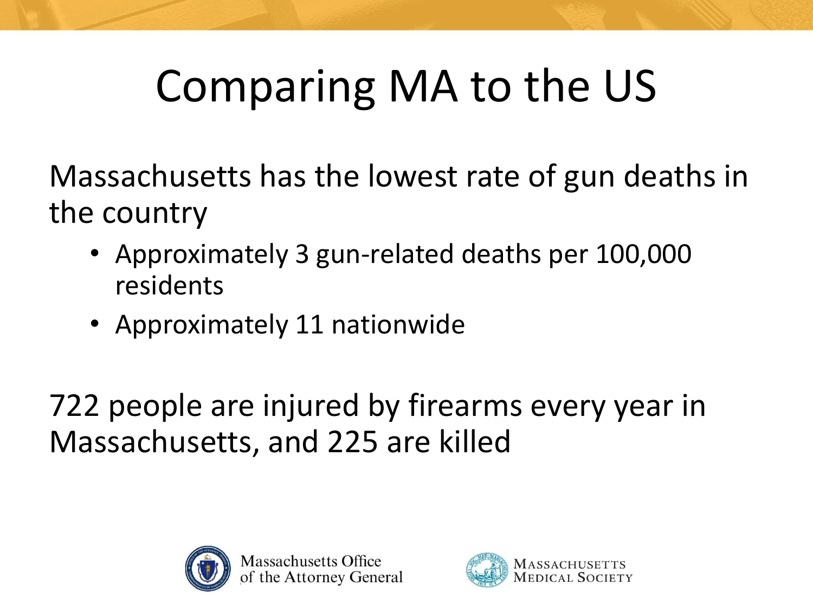### Comparing MA to the US

Massachusetts has the lowest rate of gun deaths in the country

- Approximately 3 gun-related deaths per 100,000 residents
- Approximately 11 nationwide

722 people are injured by firearms every year in Massachusetts, and 225 are killed



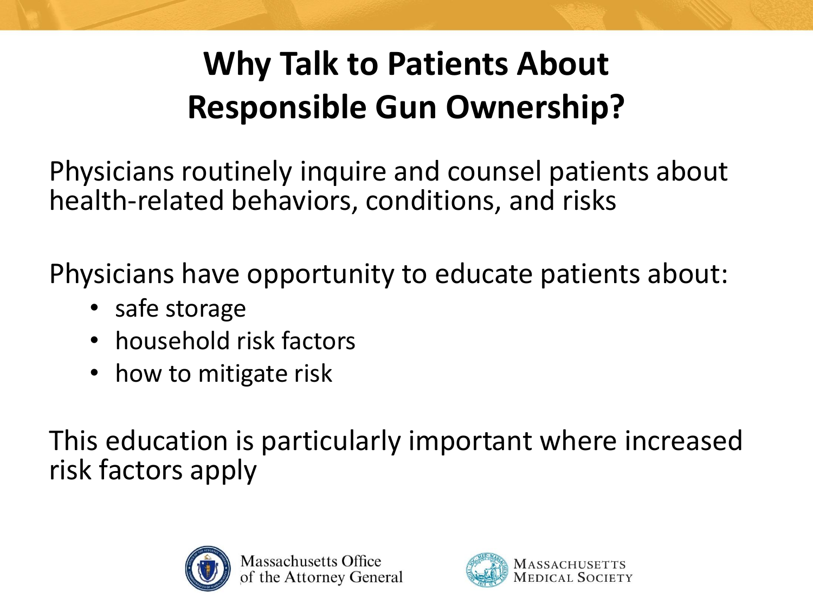#### **Why Talk to Patients About Responsible Gun Ownership?**

Physicians routinely inquire and counsel patients about health-related behaviors, conditions, and risks

Physicians have opportunity to educate patients about:

- safe storage
- household risk factors
- how to mitigate risk

This education is particularly important where increased risk factors apply



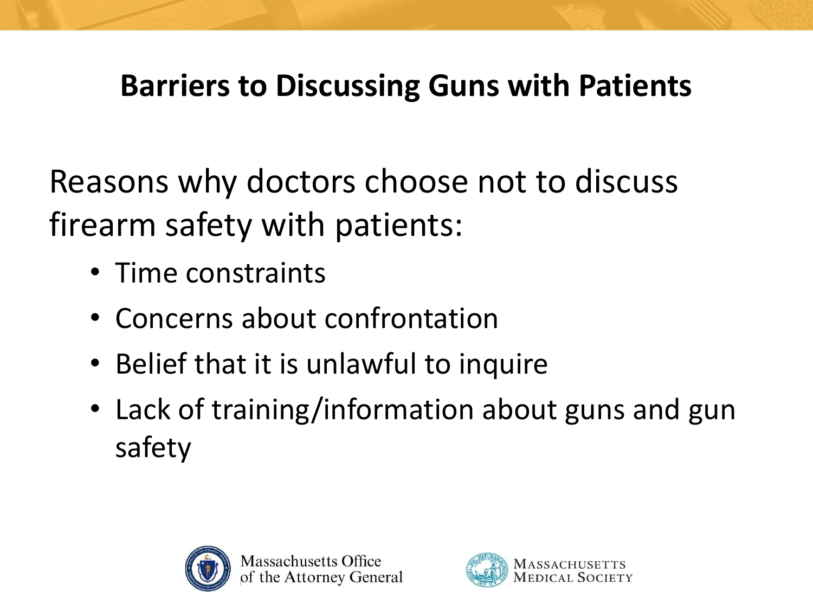#### **Barriers to Discussing Guns with Patients**

Reasons why doctors choose not to discuss firearm safety with patients:

- Time constraints
- Concerns about confrontation
- Belief that it is unlawful to inquire
- Lack of training/information about guns and gun safety



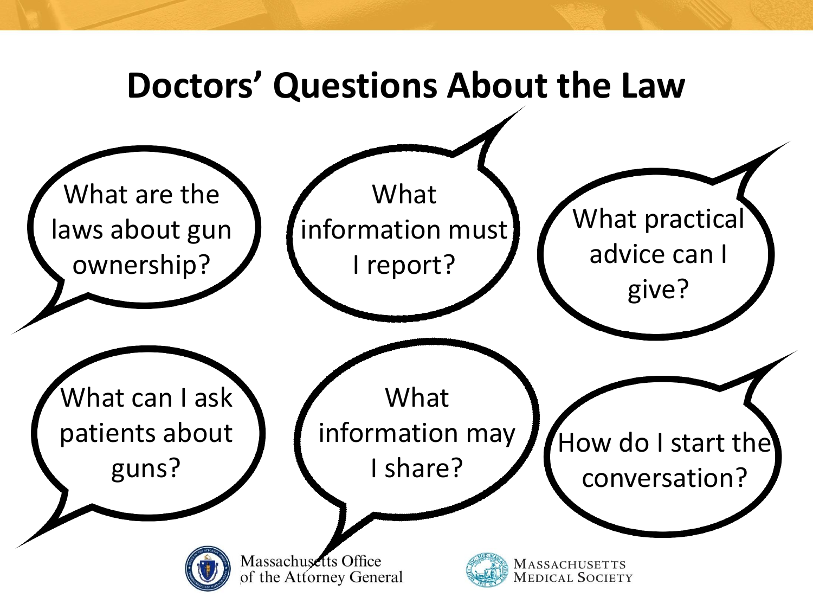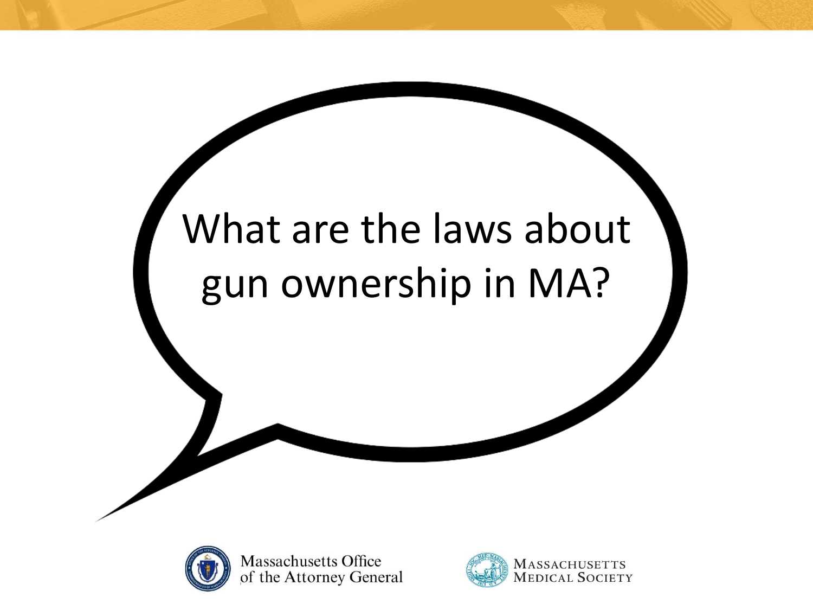### What are the laws about gun ownership in MA?



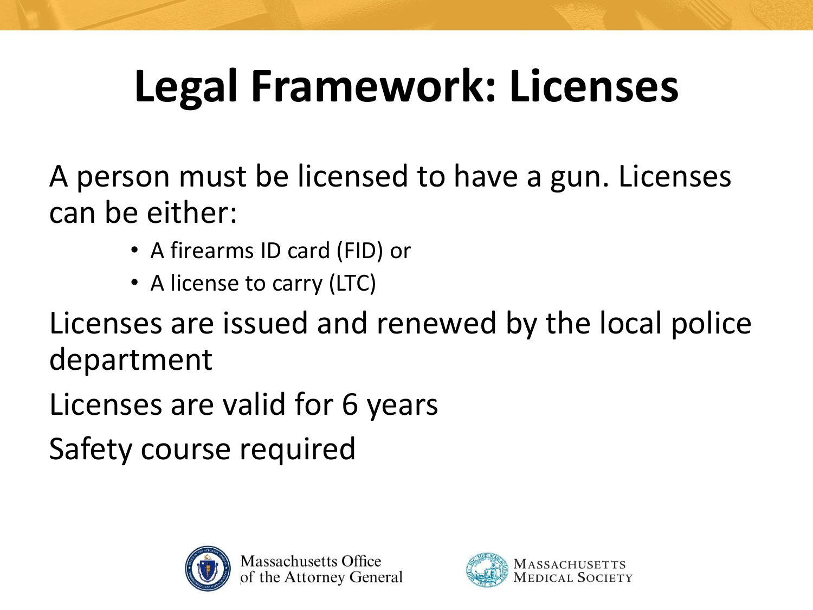### **Legal Framework: Licenses**

A person must be licensed to have a gun. Licenses can be either:

- A firearms ID card (FID) or
- A license to carry (LTC)

Licenses are issued and renewed by the local police department

Licenses are valid for 6 years

Safety course required



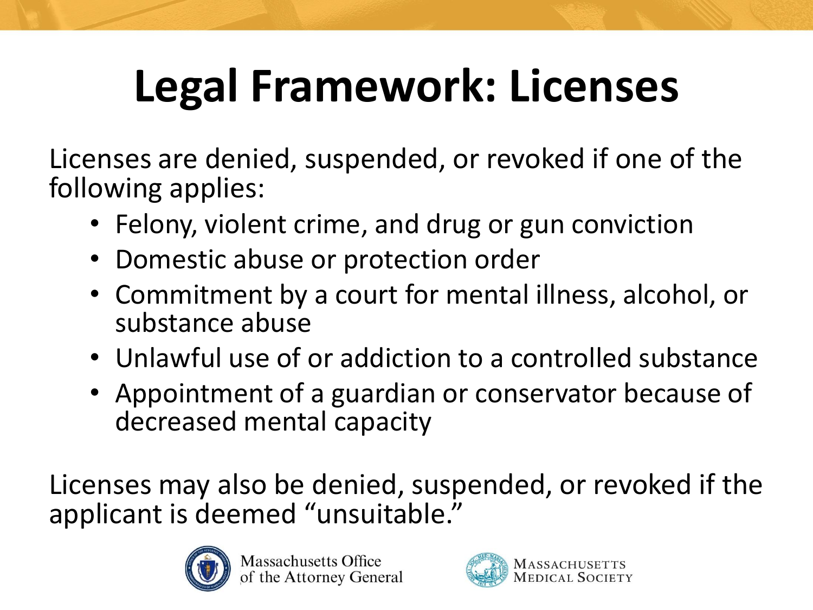### **Legal Framework: Licenses**

Licenses are denied, suspended, or revoked if one of the following applies:

- Felony, violent crime, and drug or gun conviction
- Domestic abuse or protection order
- Commitment by a court for mental illness, alcohol, or substance abuse
- Unlawful use of or addiction to a controlled substance
- Appointment of a guardian or conservator because of decreased mental capacity

Licenses may also be denied, suspended, or revoked if the applicant is deemed "unsuitable."



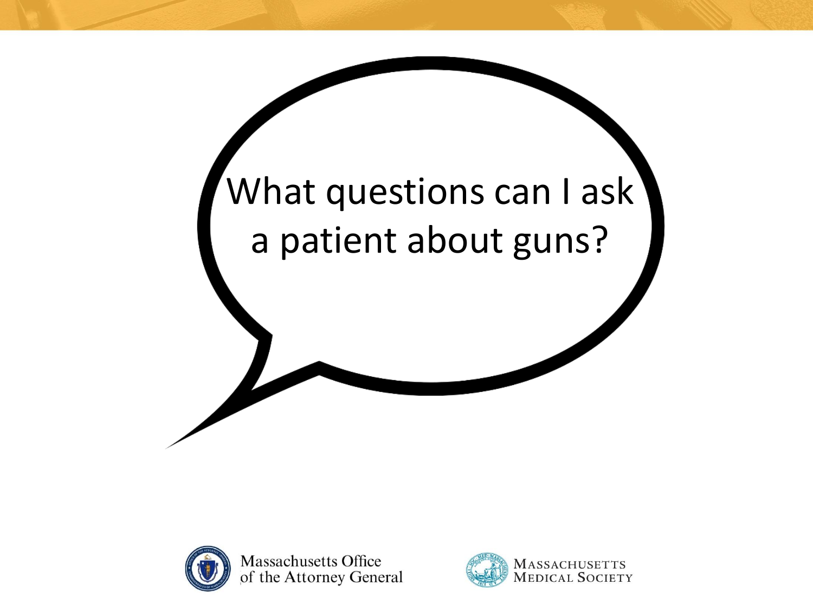



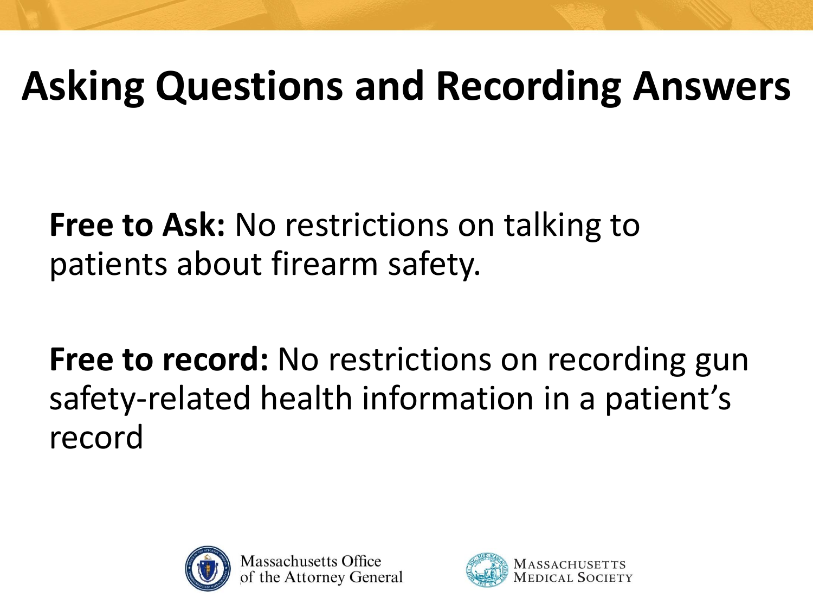### **Asking Questions and Recording Answers**

**Free to Ask:** No restrictions on talking to patients about firearm safety.

Free to record: No restrictions on recording gun safety-related health information in a patient's record



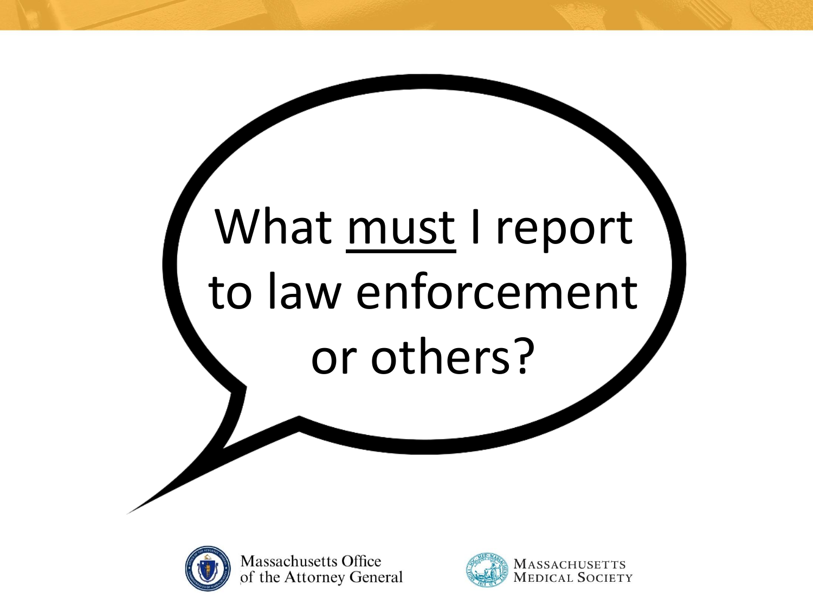# What must I report to law enforcement or others?



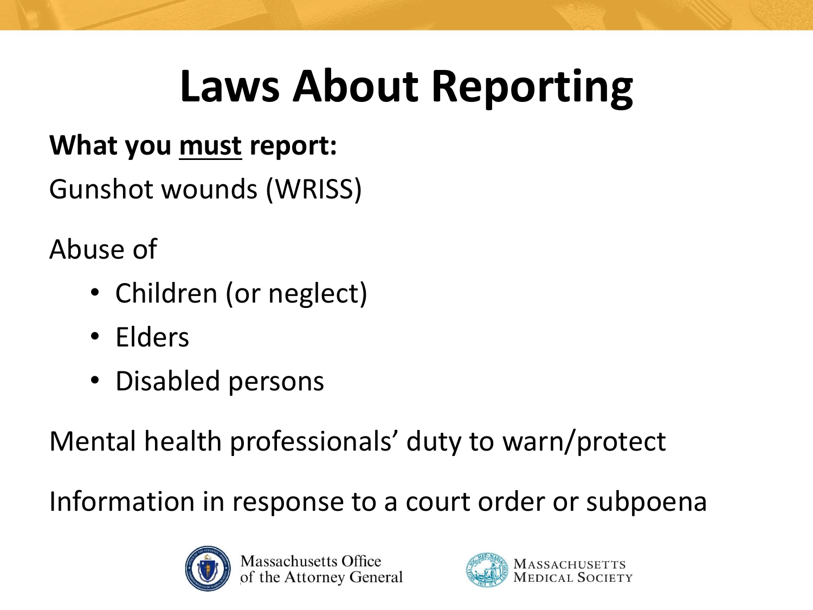### **Laws About Reporting**

#### **What you must report:**

Gunshot wounds (WRISS)

Abuse of

- Children (or neglect)
- Elders
- Disabled persons

Mental health professionals' duty to warn/protect

Information in response to a court order or subpoena



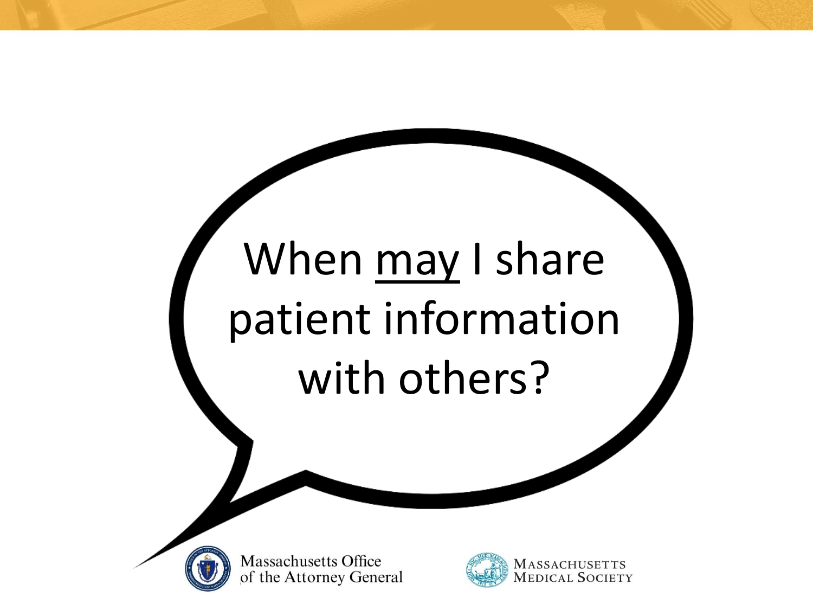# When may I share patient information with others?



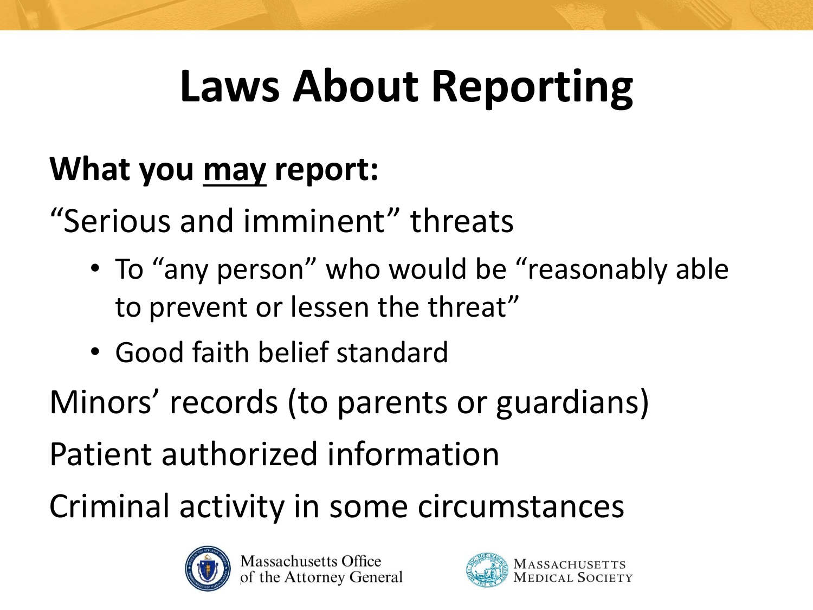### **Laws About Reporting**

#### **What you may report:**

"Serious and imminent" threats

- To "any person" who would be "reasonably able to prevent or lessen the threat"
- Good faith belief standard

Minors' records (to parents or guardians)

Patient authorized information

Criminal activity in some circumstances



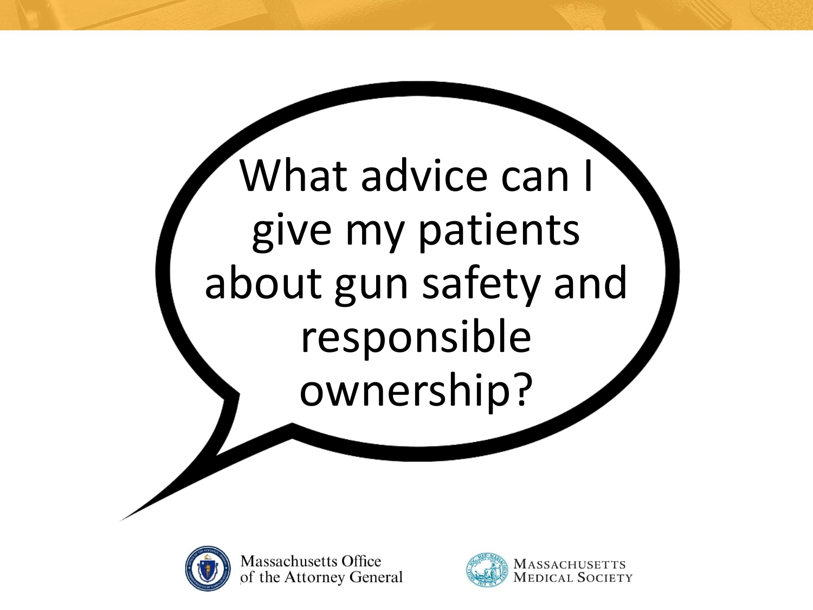



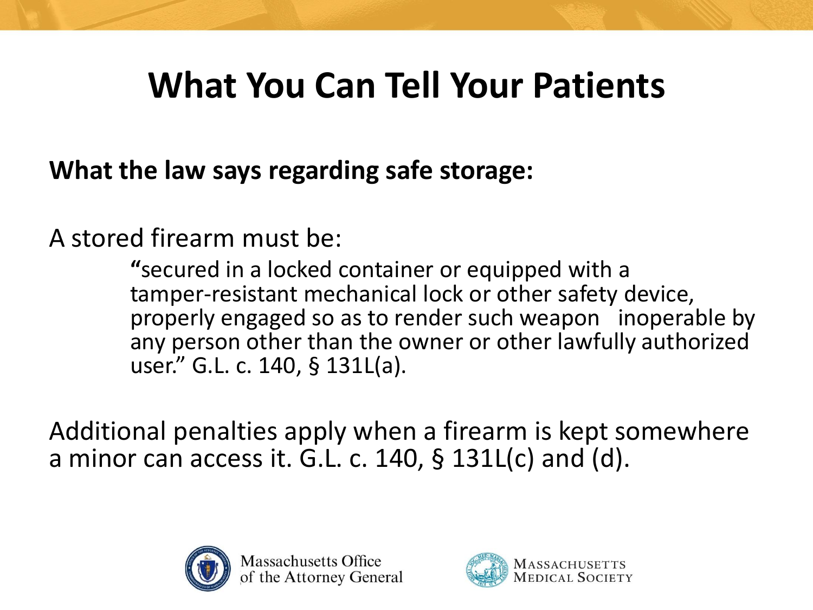**What the law says regarding safe storage:**

A stored firearm must be:

**"**secured in a locked container or equipped with a tamper-resistant mechanical lock or other safety device, properly engaged so as to render such weapon inoperable by any person other than the owner or other lawfully authorized user." G.L. c. 140, § 131L(a).

Additional penalties apply when a firearm is kept somewhere a minor can access it. G.L. c.  $140$ , §  $131L(c)$  and (d).



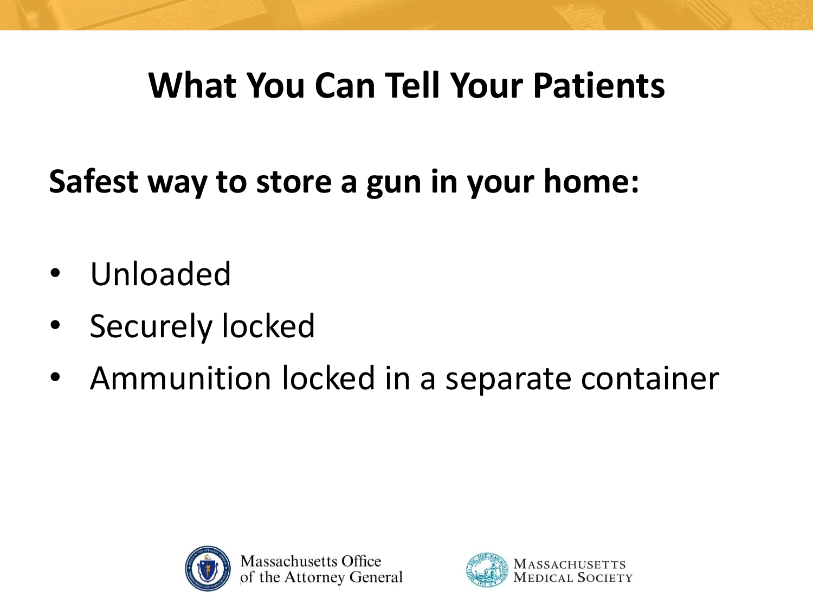**Safest way to store a gun in your home:**

- Unloaded
- Securely locked
- Ammunition locked in a separate container



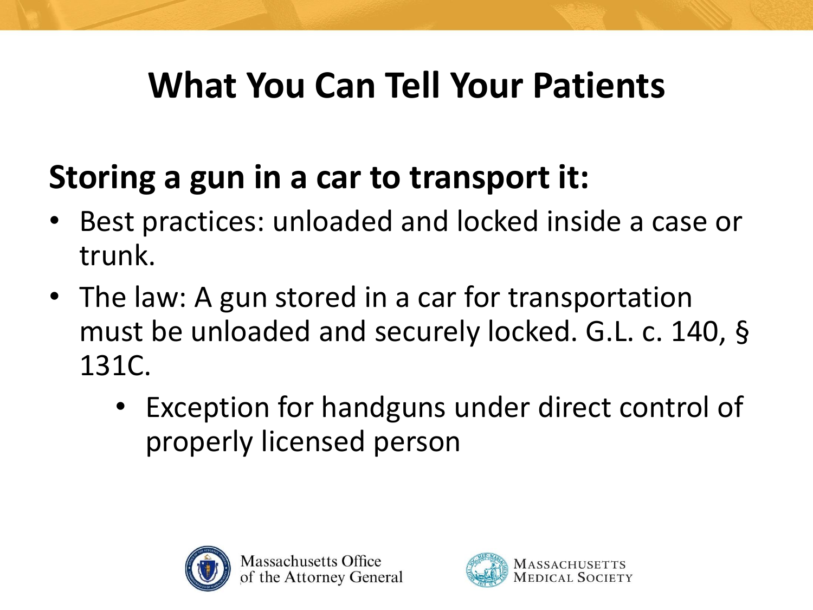#### **Storing a gun in a car to transport it:**

- Best practices: unloaded and locked inside a case or trunk.
- The law: A gun stored in a car for transportation must be unloaded and securely locked. G.L. c. 140, § 131C.
	- Exception for handguns under direct control of properly licensed person



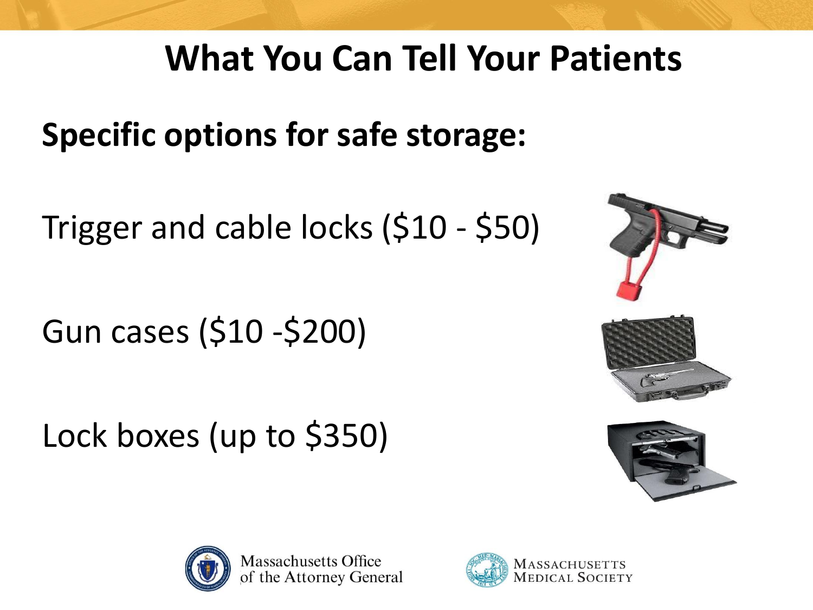**Specific options for safe storage:**

Trigger and cable locks (\$10 - \$50)

Gun cases (\$10 -\$200)

Lock boxes (up to \$350)







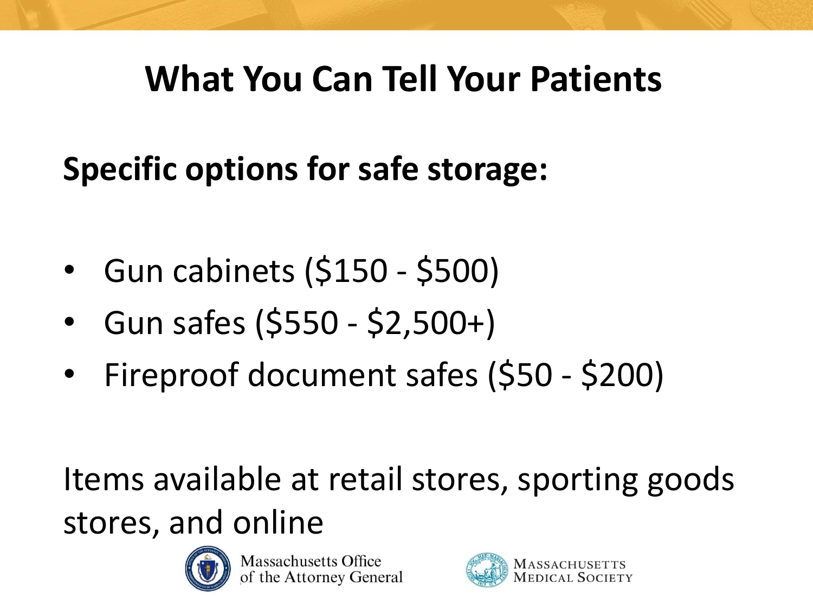### **Specific options for safe storage:**

- Gun cabinets (\$150 \$500)
- Gun safes (\$550 \$2,500+)
- Fireproof document safes (\$50 \$200)

Items available at retail stores, sporting goods stores, and online



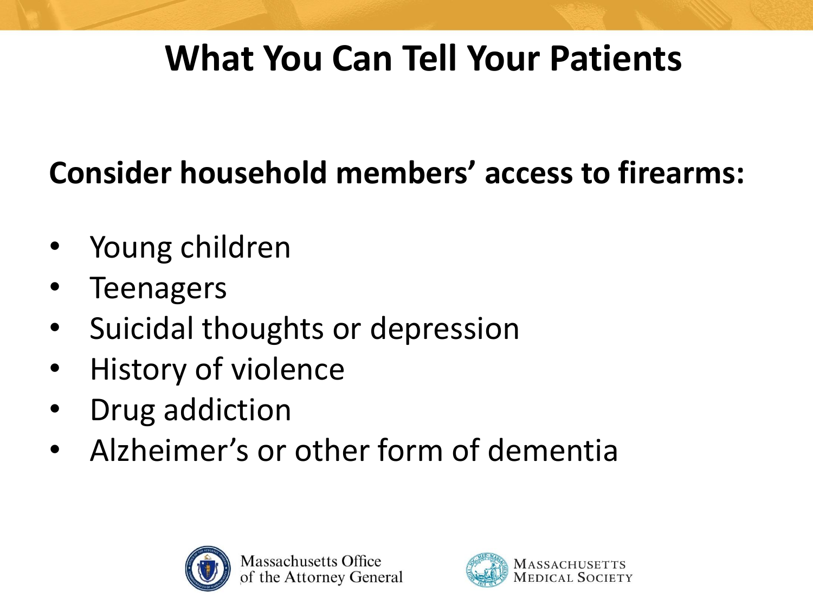#### **Consider household members' access to firearms:**

- Young children
- **Teenagers**
- Suicidal thoughts or depression
- History of violence
- Drug addiction
- Alzheimer's or other form of dementia



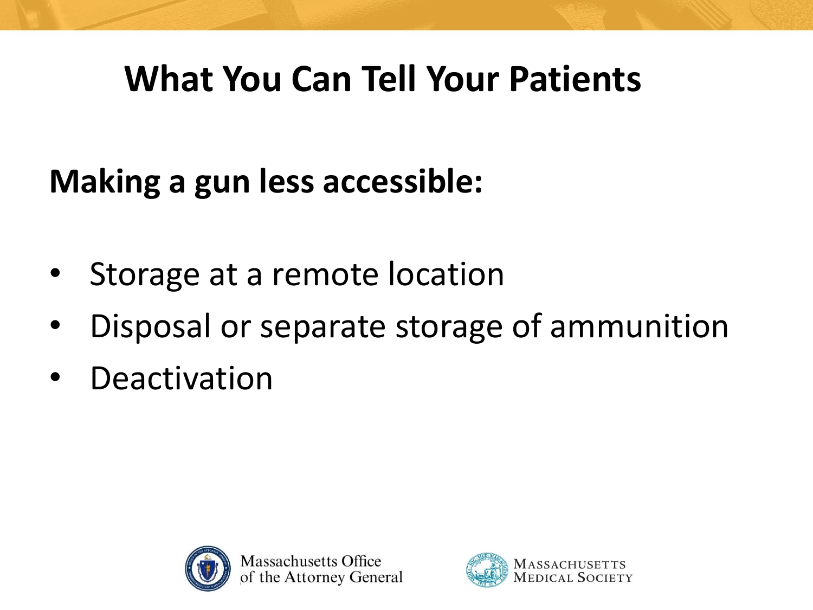#### **Making a gun less accessible:**

- Storage at a remote location
- Disposal or separate storage of ammunition
- **Deactivation**



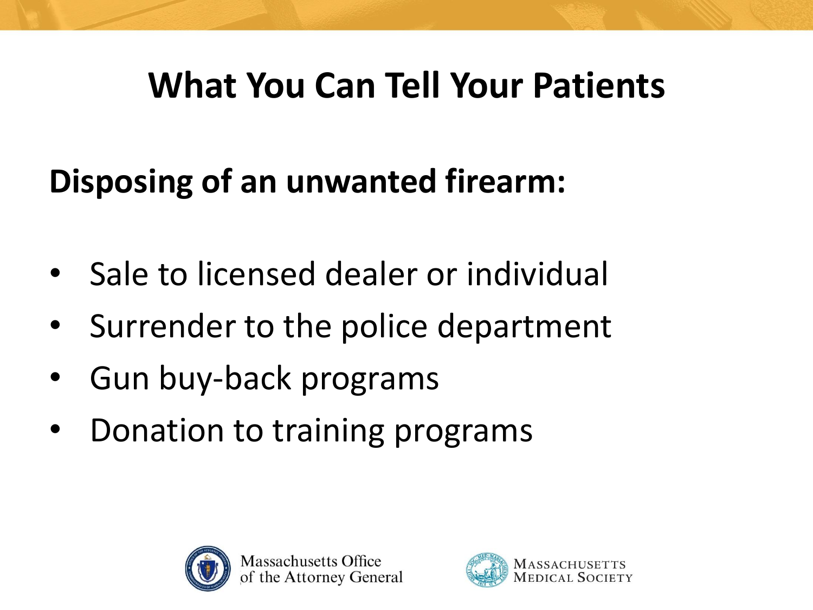#### **Disposing of an unwanted firearm:**

- Sale to licensed dealer or individual
- Surrender to the police department
- Gun buy-back programs
- Donation to training programs



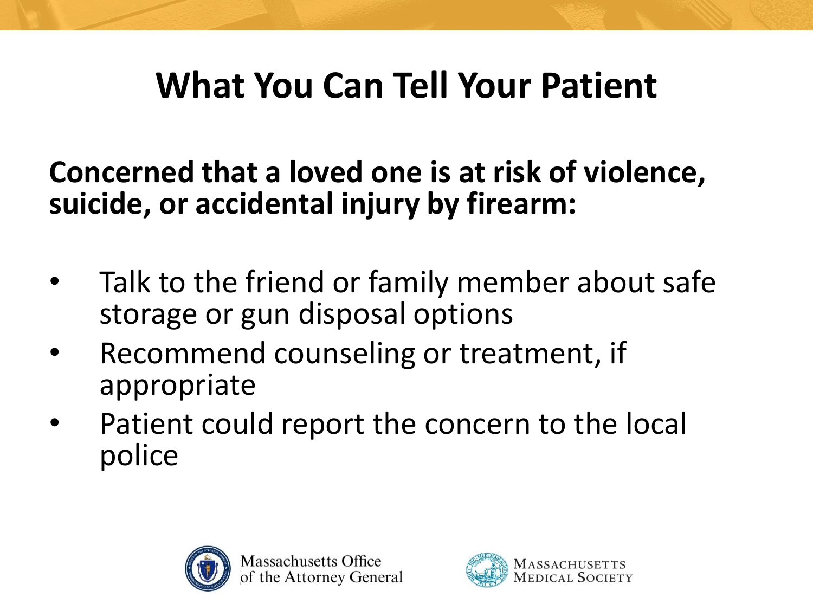**Concerned that a loved one is at risk of violence, suicide, or accidental injury by firearm:**

- Talk to the friend or family member about safe storage or gun disposal options
- Recommend counseling or treatment, if appropriate
- Patient could report the concern to the local police



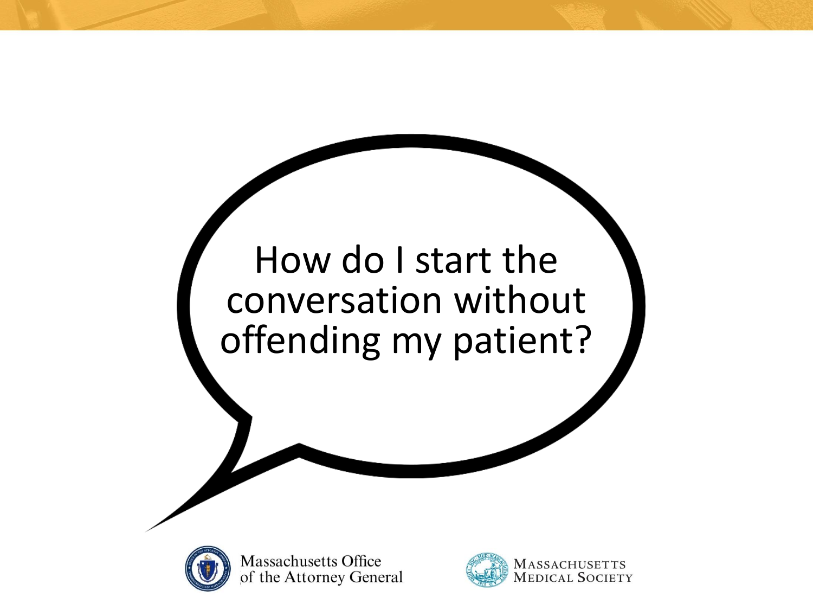### How do I start the conversation without offending my patient?



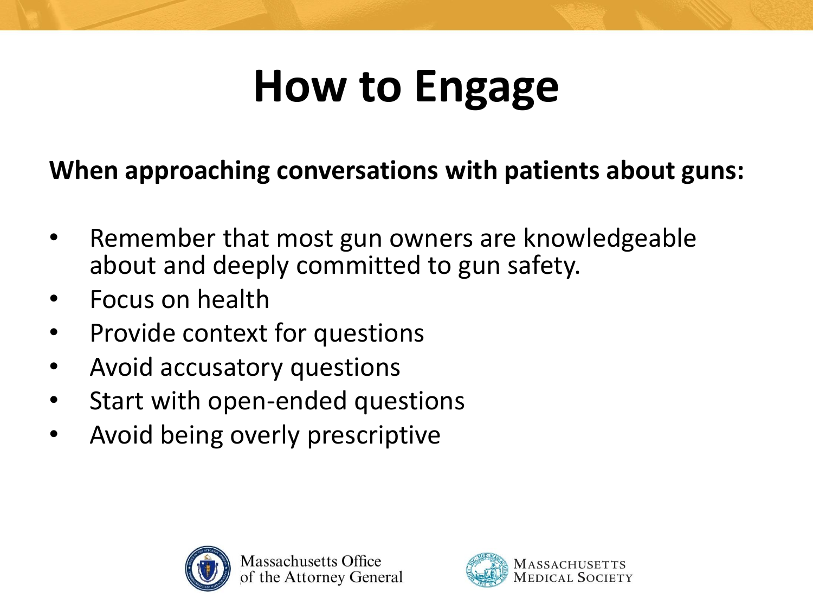### **How to Engage**

#### **When approaching conversations with patients about guns:**

- Remember that most gun owners are knowledgeable about and deeply committed to gun safety.
- Focus on health
- Provide context for questions
- Avoid accusatory questions
- Start with open-ended questions
- Avoid being overly prescriptive



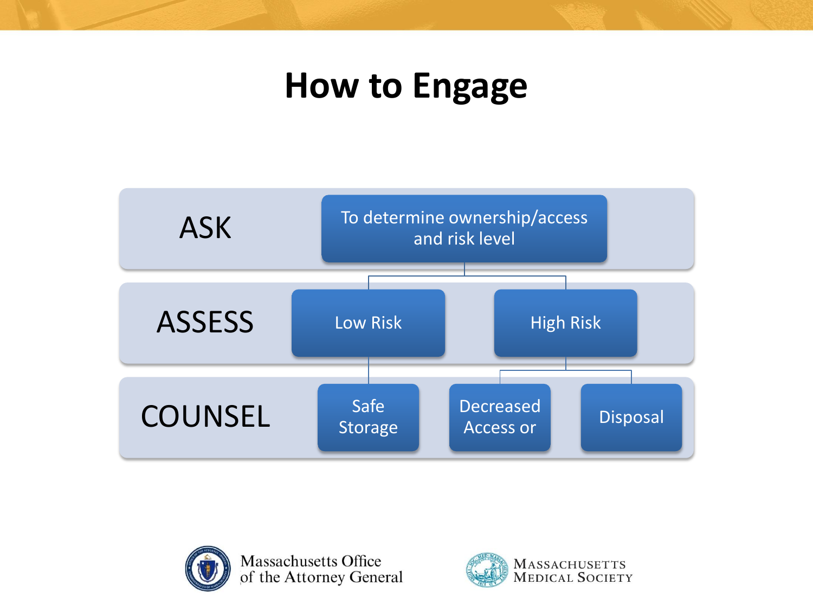#### **How to Engage**





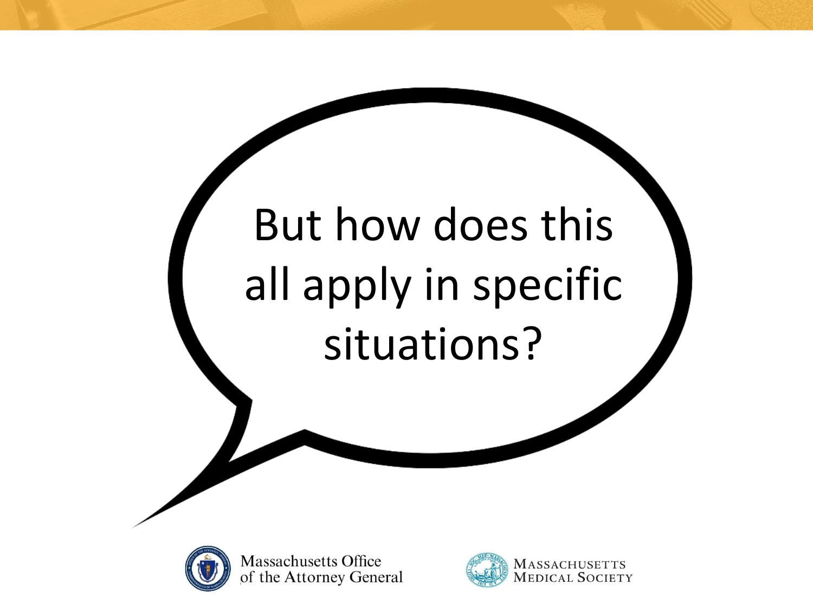# But how does this all apply in specific situations?



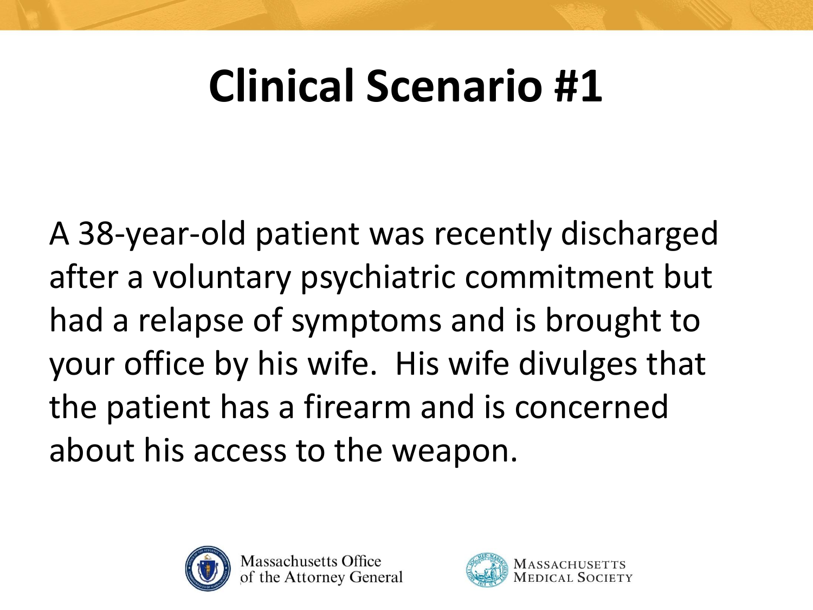A 38-year-old patient was recently discharged after a voluntary psychiatric commitment but had a relapse of symptoms and is brought to your office by his wife. His wife divulges that the patient has a firearm and is concerned about his access to the weapon.



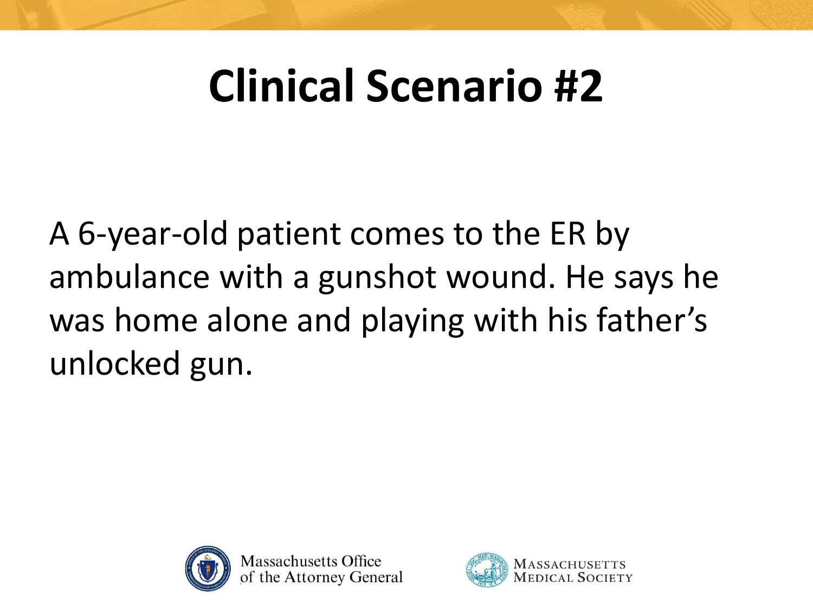A 6-year-old patient comes to the ER by ambulance with a gunshot wound. He says he was home alone and playing with his father's unlocked gun.



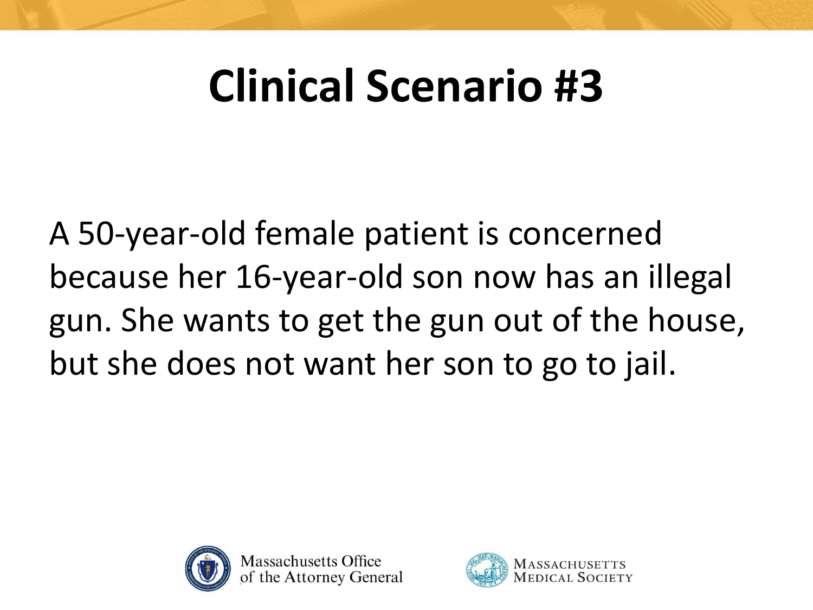A 50-year-old female patient is concerned because her 16-year-old son now has an illegal gun. She wants to get the gun out of the house, but she does not want her son to go to jail.



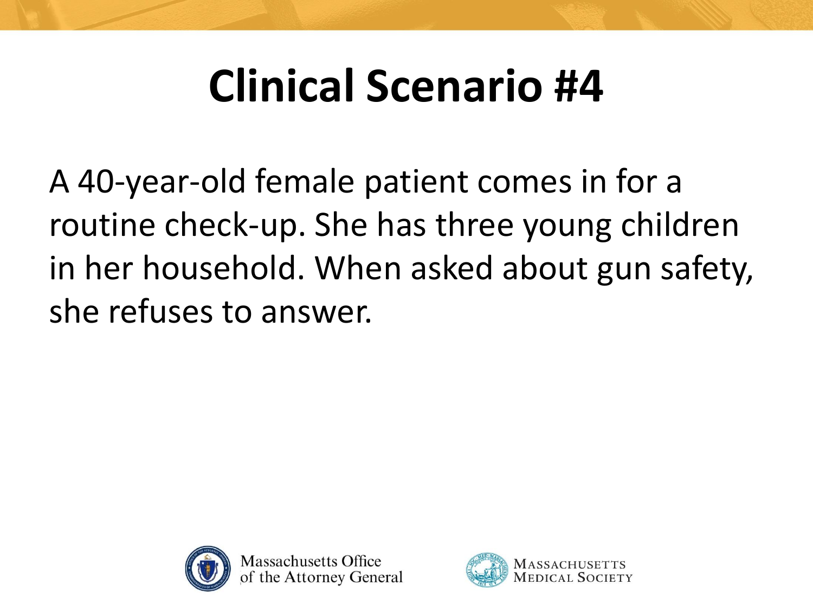A 40-year-old female patient comes in for a routine check-up. She has three young children in her household. When asked about gun safety, she refuses to answer.



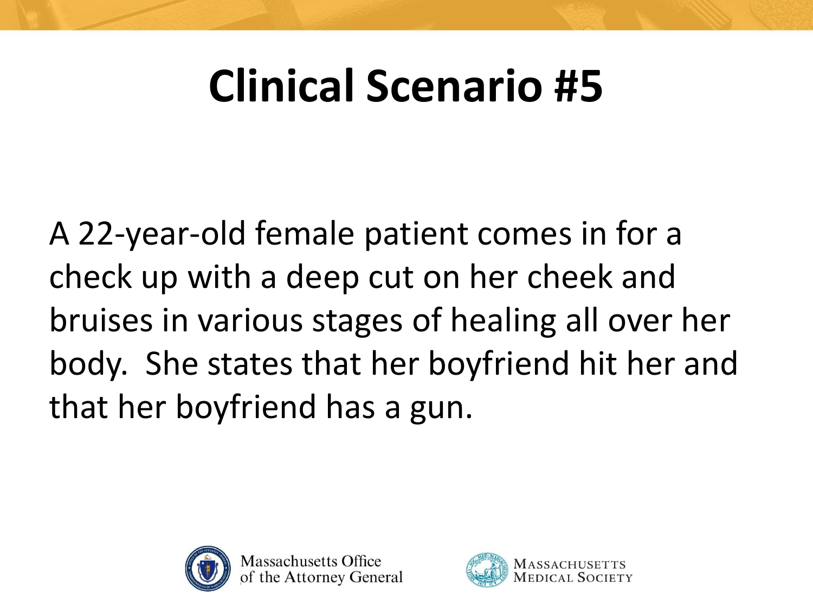A 22-year-old female patient comes in for a check up with a deep cut on her cheek and bruises in various stages of healing all over her body. She states that her boyfriend hit her and that her boyfriend has a gun.